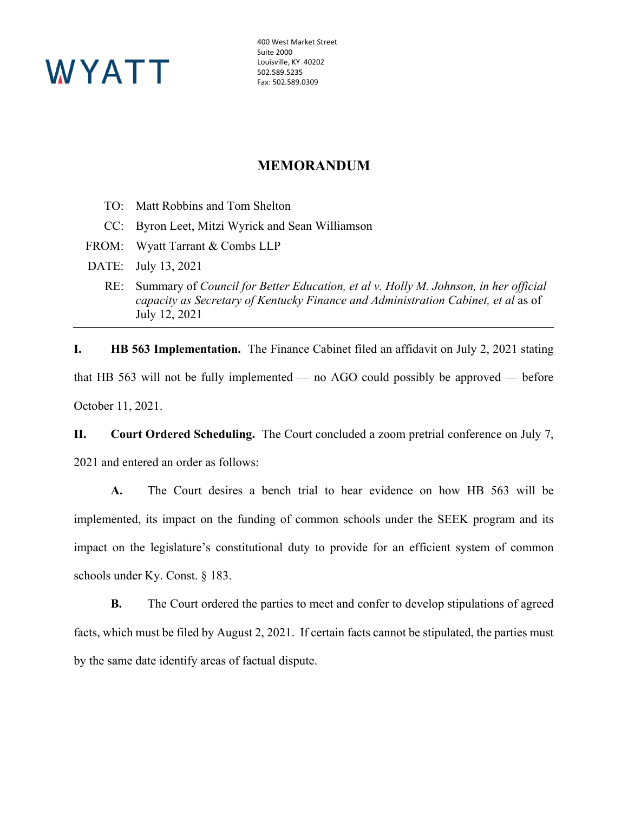

400 West Market Street Suite 2000 Louisville, KY 40202 502.589.5235 Fax: 502.589.0309

## **MEMORANDUM**

- TO: Matt Robbins and Tom Shelton
- CC: Byron Leet, Mitzi Wyrick and Sean Williamson
- FROM: Wyatt Tarrant & Combs LLP
- DATE: July 13, 2021
	- RE: Summary of *Council for Better Education, et al v. Holly M. Johnson, in her official capacity as Secretary of Kentucky Finance and Administration Cabinet, et al* as of July 12, 2021

**I. HB 563 Implementation.** The Finance Cabinet filed an affidavit on July 2, 2021 stating that HB 563 will not be fully implemented — no AGO could possibly be approved — before October 11, 2021.

**II. Court Ordered Scheduling.** The Court concluded a zoom pretrial conference on July 7, 2021 and entered an order as follows:

**A.** The Court desires a bench trial to hear evidence on how HB 563 will be implemented, its impact on the funding of common schools under the SEEK program and its impact on the legislature's constitutional duty to provide for an efficient system of common schools under Ky. Const. § 183.

**B.** The Court ordered the parties to meet and confer to develop stipulations of agreed facts, which must be filed by August 2, 2021. If certain facts cannot be stipulated, the parties must by the same date identify areas of factual dispute.